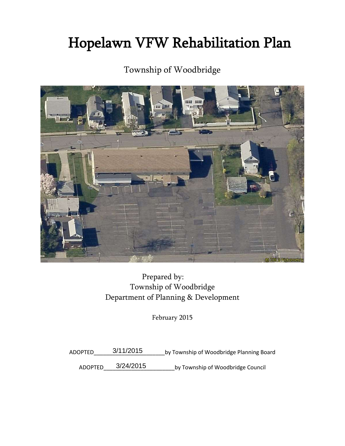# Hopelawn VFW Rehabilitation Plan

# Township of Woodbridge



Prepared by: Township of Woodbridge Department of Planning & Development

February 2015

ADOPTED\_\_\_\_\_\_\_\_\_\_\_\_\_\_\_\_\_\_\_\_\_\_\_by Township of Woodbridge Planning Board 3/11/2015

ADOPTED\_\_\_\_\_3/24/2015 by Township of Woodbridge Council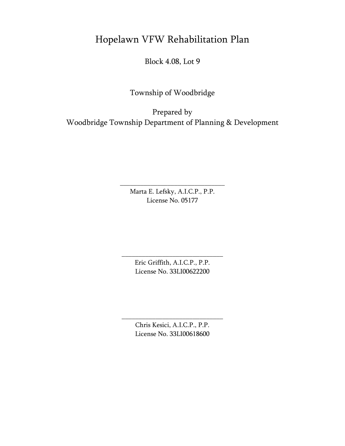# Hopelawn VFW Rehabilitation Plan

Block 4.08, Lot 9

Township of Woodbridge

Prepared by Woodbridge Township Department of Planning & Development

> Marta E. Lefsky, A.I.C.P., P.P. License No. 05177

\_\_\_\_\_\_\_\_\_\_\_\_\_\_\_\_\_\_\_\_\_\_\_\_\_\_\_\_\_\_\_

Eric Griffith, A.I.C.P., P.P. License No. 33LI00622200

\_\_\_\_\_\_\_\_\_\_\_\_\_\_\_\_\_\_\_\_\_\_\_\_\_\_\_\_\_\_

Chris Kesici, A.I.C.P., P.P. License No. 33LI00618600

\_\_\_\_\_\_\_\_\_\_\_\_\_\_\_\_\_\_\_\_\_\_\_\_\_\_\_\_\_\_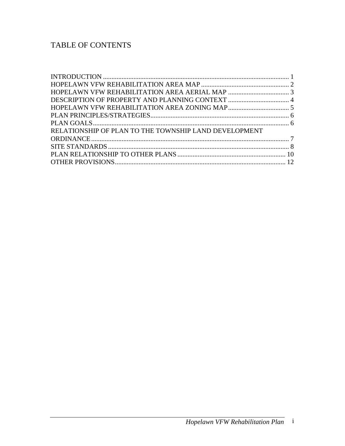# TABLE OF CONTENTS

| RELATIONSHIP OF PLAN TO THE TOWNSHIP LAND DEVELOPMENT |  |
|-------------------------------------------------------|--|
|                                                       |  |
|                                                       |  |
|                                                       |  |
|                                                       |  |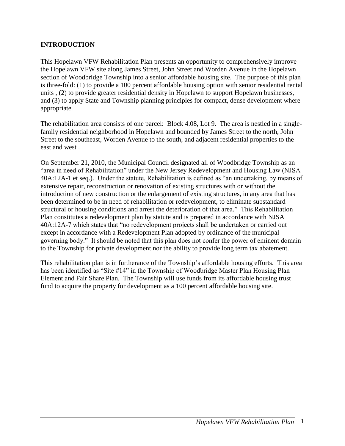## <span id="page-3-0"></span>**INTRODUCTION**

This Hopelawn VFW Rehabilitation Plan presents an opportunity to comprehensively improve the Hopelawn VFW site along James Street, John Street and Worden Avenue in the Hopelawn section of Woodbridge Township into a senior affordable housing site. The purpose of this plan is three-fold: (1) to provide a 100 percent affordable housing option with senior residential rental units , (2) to provide greater residential density in Hopelawn to support Hopelawn businesses, and (3) to apply State and Township planning principles for compact, dense development where appropriate.

The rehabilitation area consists of one parcel: Block 4.08, Lot 9. The area is nestled in a singlefamily residential neighborhood in Hopelawn and bounded by James Street to the north, John Street to the southeast, Worden Avenue to the south, and adjacent residential properties to the east and west .

On September 21, 2010, the Municipal Council designated all of Woodbridge Township as an "area in need of Rehabilitation" under the New Jersey Redevelopment and Housing Law (NJSA 40A:12A-1 et seq.). Under the statute, Rehabilitation is defined as "an undertaking, by means of extensive repair, reconstruction or renovation of existing structures with or without the introduction of new construction or the enlargement of existing structures, in any area that has been determined to be in need of rehabilitation or redevelopment, to eliminate substandard structural or housing conditions and arrest the deterioration of that area." This Rehabilitation Plan constitutes a redevelopment plan by statute and is prepared in accordance with NJSA 40A:12A-7 which states that "no redevelopment projects shall be undertaken or carried out except in accordance with a Redevelopment Plan adopted by ordinance of the municipal governing body." It should be noted that this plan does not confer the power of eminent domain to the Township for private development nor the ability to provide long term tax abatement.

This rehabilitation plan is in furtherance of the Township's affordable housing efforts. This area has been identified as "Site #14" in the Township of Woodbridge Master Plan Housing Plan Element and Fair Share Plan. The Township will use funds from its affordable housing trust fund to acquire the property for development as a 100 percent affordable housing site.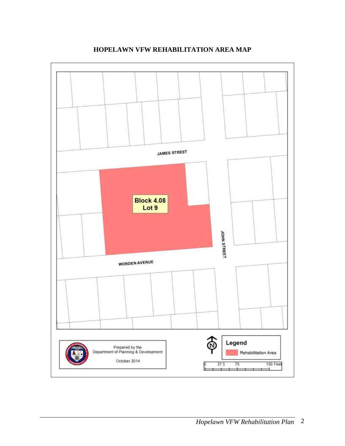<span id="page-4-0"></span>

# **HOPELAWN VFW REHABILITATION AREA MAP**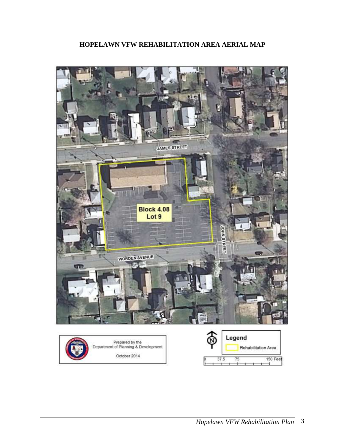<span id="page-5-0"></span>

# **HOPELAWN VFW REHABILITATION AREA AERIAL MAP**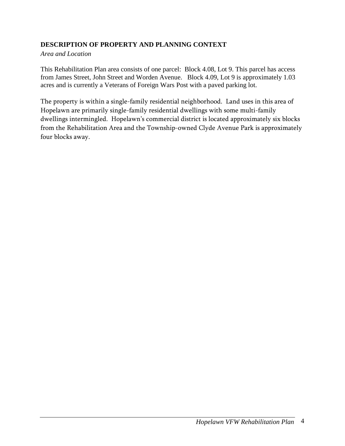# <span id="page-6-0"></span>**DESCRIPTION OF PROPERTY AND PLANNING CONTEXT**

#### *Area and Location*

This Rehabilitation Plan area consists of one parcel: Block 4.08, Lot 9. This parcel has access from James Street, John Street and Worden Avenue. Block 4.09, Lot 9 is approximately 1.03 acres and is currently a Veterans of Foreign Wars Post with a paved parking lot.

The property is within a single-family residential neighborhood. Land uses in this area of Hopelawn are primarily single-family residential dwellings with some multi-family dwellings intermingled. Hopelawn's commercial district is located approximately six blocks from the Rehabilitation Area and the Township-owned Clyde Avenue Park is approximately four blocks away.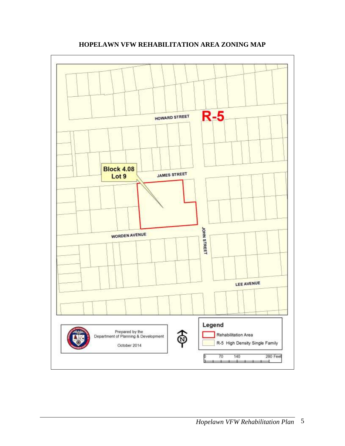<span id="page-7-0"></span>

**HOPELAWN VFW REHABILITATION AREA ZONING MAP**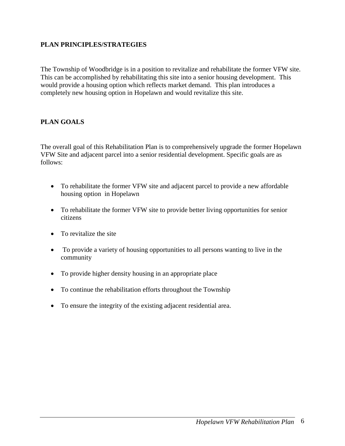### <span id="page-8-0"></span>**PLAN PRINCIPLES/STRATEGIES**

The Township of Woodbridge is in a position to revitalize and rehabilitate the former VFW site. This can be accomplished by rehabilitating this site into a senior housing development. This would provide a housing option which reflects market demand. This plan introduces a completely new housing option in Hopelawn and would revitalize this site.

#### <span id="page-8-1"></span>**PLAN GOALS**

The overall goal of this Rehabilitation Plan is to comprehensively upgrade the former Hopelawn VFW Site and adjacent parcel into a senior residential development. Specific goals are as follows:

- To rehabilitate the former VFW site and adjacent parcel to provide a new affordable housing option in Hopelawn
- To rehabilitate the former VFW site to provide better living opportunities for senior citizens
- To revitalize the site
- To provide a variety of housing opportunities to all persons wanting to live in the community
- To provide higher density housing in an appropriate place
- To continue the rehabilitation efforts throughout the Township
- To ensure the integrity of the existing adjacent residential area.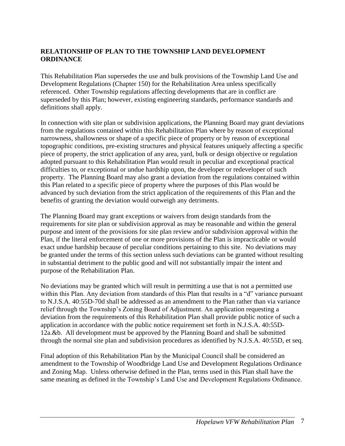# <span id="page-9-0"></span>**RELATIONSHIP OF PLAN TO THE TOWNSHIP LAND DEVELOPMENT ORDINANCE**

This Rehabilitation Plan supersedes the use and bulk provisions of the Township Land Use and Development Regulations (Chapter 150) for the Rehabilitation Area unless specifically referenced. Other Township regulations affecting developments that are in conflict are superseded by this Plan; however, existing engineering standards, performance standards and definitions shall apply.

In connection with site plan or subdivision applications, the Planning Board may grant deviations from the regulations contained within this Rehabilitation Plan where by reason of exceptional narrowness, shallowness or shape of a specific piece of property or by reason of exceptional topographic conditions, pre-existing structures and physical features uniquely affecting a specific piece of property, the strict application of any area, yard, bulk or design objective or regulation adopted pursuant to this Rehabilitation Plan would result in peculiar and exceptional practical difficulties to, or exceptional or undue hardship upon, the developer or redeveloper of such property. The Planning Board may also grant a deviation from the regulations contained within this Plan related to a specific piece of property where the purposes of this Plan would be advanced by such deviation from the strict application of the requirements of this Plan and the benefits of granting the deviation would outweigh any detriments.

The Planning Board may grant exceptions or waivers from design standards from the requirements for site plan or subdivision approval as may be reasonable and within the general purpose and intent of the provisions for site plan review and/or subdivision approval within the Plan, if the literal enforcement of one or more provisions of the Plan is impracticable or would exact undue hardship because of peculiar conditions pertaining to this site. No deviations may be granted under the terms of this section unless such deviations can be granted without resulting in substantial detriment to the public good and will not substantially impair the intent and purpose of the Rehabilitation Plan.

No deviations may be granted which will result in permitting a use that is not a permitted use within this Plan. Any deviation from standards of this Plan that results in a "d" variance pursuant to N.J.S.A. 40:55D-70d shall be addressed as an amendment to the Plan rather than via variance relief through the Township's Zoning Board of Adjustment. An application requesting a deviation from the requirements of this Rehabilitation Plan shall provide public notice of such a application in accordance with the public notice requirement set forth in N.J.S.A. 40:55D-12a.&b. All development must be approved by the Planning Board and shall be submitted through the normal site plan and subdivision procedures as identified by N.J.S.A. 40:55D, et seq.

Final adoption of this Rehabilitation Plan by the Municipal Council shall be considered an amendment to the Township of Woodbridge Land Use and Development Regulations Ordinance and Zoning Map. Unless otherwise defined in the Plan, terms used in this Plan shall have the same meaning as defined in the Township's Land Use and Development Regulations Ordinance.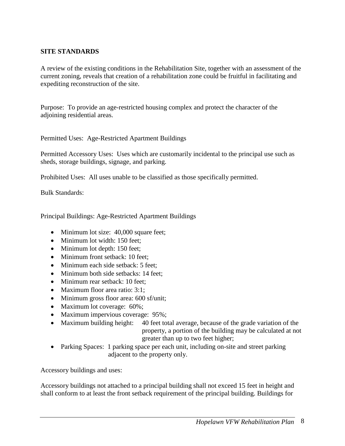#### <span id="page-10-0"></span>**SITE STANDARDS**

A review of the existing conditions in the Rehabilitation Site, together with an assessment of the current zoning, reveals that creation of a rehabilitation zone could be fruitful in facilitating and expediting reconstruction of the site.

Purpose: To provide an age-restricted housing complex and protect the character of the adjoining residential areas.

Permitted Uses: Age-Restricted Apartment Buildings

Permitted Accessory Uses: Uses which are customarily incidental to the principal use such as sheds, storage buildings, signage, and parking.

Prohibited Uses: All uses unable to be classified as those specifically permitted.

Bulk Standards:

Principal Buildings: Age-Restricted Apartment Buildings

- Minimum lot size: 40,000 square feet;
- Minimum lot width: 150 feet:
- Minimum lot depth: 150 feet;
- Minimum front setback: 10 feet;
- Minimum each side setback: 5 feet:
- Minimum both side setbacks: 14 feet;
- Minimum rear setback: 10 feet:
- Maximum floor area ratio: 3:1:
- Minimum gross floor area: 600 sf/unit;
- Maximum lot coverage: 60%;
- Maximum impervious coverage: 95%;
- Maximum building height: 40 feet total average, because of the grade variation of the property, a portion of the building may be calculated at not greater than up to two feet higher;
- Parking Spaces: 1 parking space per each unit, including on-site and street parking adjacent to the property only.

Accessory buildings and uses:

Accessory buildings not attached to a principal building shall not exceed 15 feet in height and shall conform to at least the front setback requirement of the principal building. Buildings for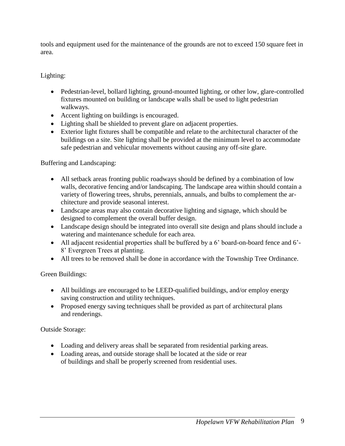tools and equipment used for the maintenance of the grounds are not to exceed 150 square feet in area.

# Lighting:

- Pedestrian-level, bollard lighting, ground-mounted lighting, or other low, glare-controlled fixtures mounted on building or landscape walls shall be used to light pedestrian walkways.
- Accent lighting on buildings is encouraged.
- Lighting shall be shielded to prevent glare on adjacent properties.
- Exterior light fixtures shall be compatible and relate to the architectural character of the buildings on a site. Site lighting shall be provided at the minimum level to accommodate safe pedestrian and vehicular movements without causing any off-site glare.

Buffering and Landscaping:

- All setback areas fronting public roadways should be defined by a combination of low walls, decorative fencing and/or landscaping. The landscape area within should contain a variety of flowering trees, shrubs, perennials, annuals, and bulbs to complement the architecture and provide seasonal interest.
- Landscape areas may also contain decorative lighting and signage, which should be designed to complement the overall buffer design.
- Landscape design should be integrated into overall site design and plans should include a watering and maintenance schedule for each area.
- All adjacent residential properties shall be buffered by a 6' board-on-board fence and 6'- 8' Evergreen Trees at planting.
- All trees to be removed shall be done in accordance with the Township Tree Ordinance.

Green Buildings:

- All buildings are encouraged to be LEED-qualified buildings, and/or employ energy saving construction and utility techniques.
- Proposed energy saving techniques shall be provided as part of architectural plans and renderings.

Outside Storage:

- Loading and delivery areas shall be separated from residential parking areas.
- Loading areas, and outside storage shall be located at the side or rear of buildings and shall be properly screened from residential uses.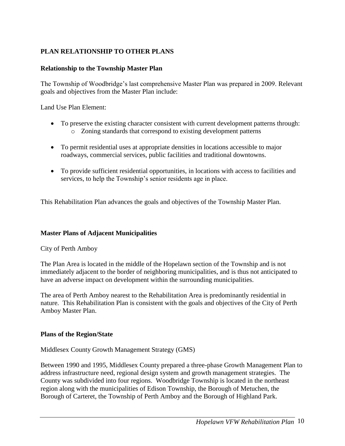# <span id="page-12-0"></span>**PLAN RELATIONSHIP TO OTHER PLANS**

#### **Relationship to the Township Master Plan**

The Township of Woodbridge's last comprehensive Master Plan was prepared in 2009. Relevant goals and objectives from the Master Plan include:

Land Use Plan Element:

- To preserve the existing character consistent with current development patterns through: o Zoning standards that correspond to existing development patterns
- To permit residential uses at appropriate densities in locations accessible to major roadways, commercial services, public facilities and traditional downtowns.
- To provide sufficient residential opportunities, in locations with access to facilities and services, to help the Township's senior residents age in place.

This Rehabilitation Plan advances the goals and objectives of the Township Master Plan.

#### **Master Plans of Adjacent Municipalities**

#### City of Perth Amboy

The Plan Area is located in the middle of the Hopelawn section of the Township and is not immediately adjacent to the border of neighboring municipalities, and is thus not anticipated to have an adverse impact on development within the surrounding municipalities.

The area of Perth Amboy nearest to the Rehabilitation Area is predominantly residential in nature. This Rehabilitation Plan is consistent with the goals and objectives of the City of Perth Amboy Master Plan.

#### **Plans of the Region/State**

#### Middlesex County Growth Management Strategy (GMS)

Between 1990 and 1995, Middlesex County prepared a three-phase Growth Management Plan to address infrastructure need, regional design system and growth management strategies. The County was subdivided into four regions. Woodbridge Township is located in the northeast region along with the municipalities of Edison Township, the Borough of Metuchen, the Borough of Carteret, the Township of Perth Amboy and the Borough of Highland Park.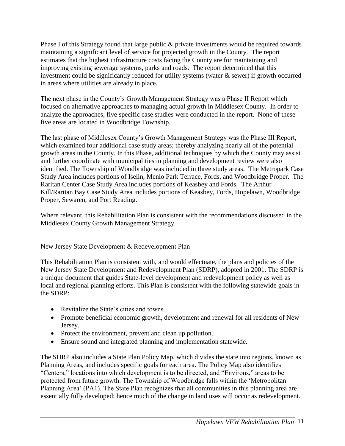Phase I of this Strategy found that large public & private investments would be required towards maintaining a significant level of service for projected growth in the County. The report estimates that the highest infrastructure costs facing the County are for maintaining and improving existing sewerage systems, parks and roads. The report determined that this investment could be significantly reduced for utility systems (water  $\&$  sewer) if growth occurred in areas where utilities are already in place.

The next phase in the County's Growth Management Strategy was a Phase II Report which focused on alternative approaches to managing actual growth in Middlesex County. In order to analyze the approaches, five specific case studies were conducted in the report. None of these five areas are located in Woodbridge Township.

The last phase of Middlesex County's Growth Management Strategy was the Phase III Report, which examined four additional case study areas; thereby analyzing nearly all of the potential growth areas in the County. In this Phase, additional techniques by which the County may assist and further coordinate with municipalities in planning and development review were also identified. The Township of Woodbridge was included in three study areas. The Metropark Case Study Area includes portions of Iselin, Menlo Park Terrace, Fords, and Woodbridge Proper. The Raritan Center Case Study Area includes portions of Keasbey and Fords. The Arthur Kill/Raritan Bay Case Study Area includes portions of Keasbey, Fords, Hopelawn, Woodbridge Proper, Sewaren, and Port Reading.

Where relevant, this Rehabilitation Plan is consistent with the recommendations discussed in the Middlesex County Growth Management Strategy.

New Jersey State Development & Redevelopment Plan

This Rehabilitation Plan is consistent with, and would effectuate, the plans and policies of the New Jersey State Development and Redevelopment Plan (SDRP), adopted in 2001. The SDRP is a unique document that guides State-level development and redevelopment policy as well as local and regional planning efforts. This Plan is consistent with the following statewide goals in the SDRP:

- Revitalize the State's cities and towns.
- Promote beneficial economic growth, development and renewal for all residents of New Jersey.
- Protect the environment, prevent and clean up pollution.
- Ensure sound and integrated planning and implementation statewide.

The SDRP also includes a State Plan Policy Map, which divides the state into regions, known as Planning Areas, and includes specific goals for each area. The Policy Map also identifies "Centers," locations into which development is to be directed, and "Environs," areas to be protected from future growth. The Township of Woodbridge falls within the 'Metropolitan Planning Area' (PA1). The State Plan recognizes that all communities in this planning area are essentially fully developed; hence much of the change in land uses will occur as redevelopment.